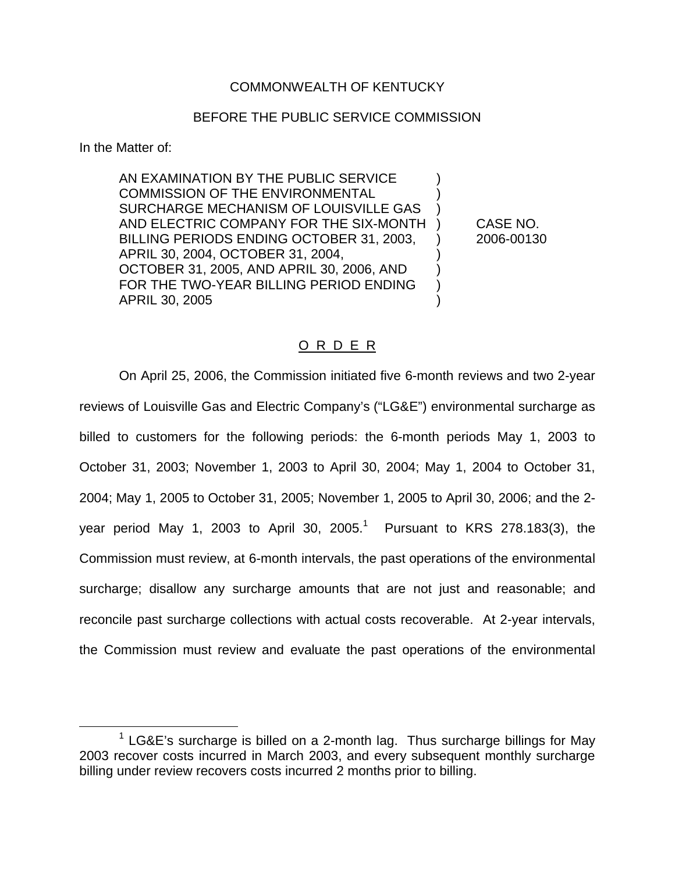## COMMONWEALTH OF KENTUCKY

## BEFORE THE PUBLIC SERVICE COMMISSION

In the Matter of:

AN EXAMINATION BY THE PUBLIC SERVICE ) COMMISSION OF THE ENVIRONMENTAL SURCHARGE MECHANISM OF LOUISVILLE GAS ) AND ELECTRIC COMPANY FOR THE SIX-MONTH ) CASE NO. BILLING PERIODS ENDING OCTOBER 31, 2003, ) 2006-00130 APRIL 30, 2004, OCTOBER 31, 2004, ) OCTOBER 31, 2005, AND APRIL 30, 2006, AND ) FOR THE TWO-YEAR BILLING PERIOD ENDING ) APRIL 30, 2005 )

### O R D E R

On April 25, 2006, the Commission initiated five 6-month reviews and two 2-year reviews of Louisville Gas and Electric Company's ("LG&E") environmental surcharge as billed to customers for the following periods: the 6-month periods May 1, 2003 to October 31, 2003; November 1, 2003 to April 30, 2004; May 1, 2004 to October 31, 2004; May 1, 2005 to October 31, 2005; November 1, 2005 to April 30, 2006; and the 2 year period May 1, 2003 to April 30, 2005.<sup>1</sup> Pursuant to KRS 278.183(3), the Commission must review, at 6-month intervals, the past operations of the environmental surcharge; disallow any surcharge amounts that are not just and reasonable; and reconcile past surcharge collections with actual costs recoverable. At 2-year intervals, the Commission must review and evaluate the past operations of the environmental

 $1$  LG&E's surcharge is billed on a 2-month lag. Thus surcharge billings for May 2003 recover costs incurred in March 2003, and every subsequent monthly surcharge billing under review recovers costs incurred 2 months prior to billing.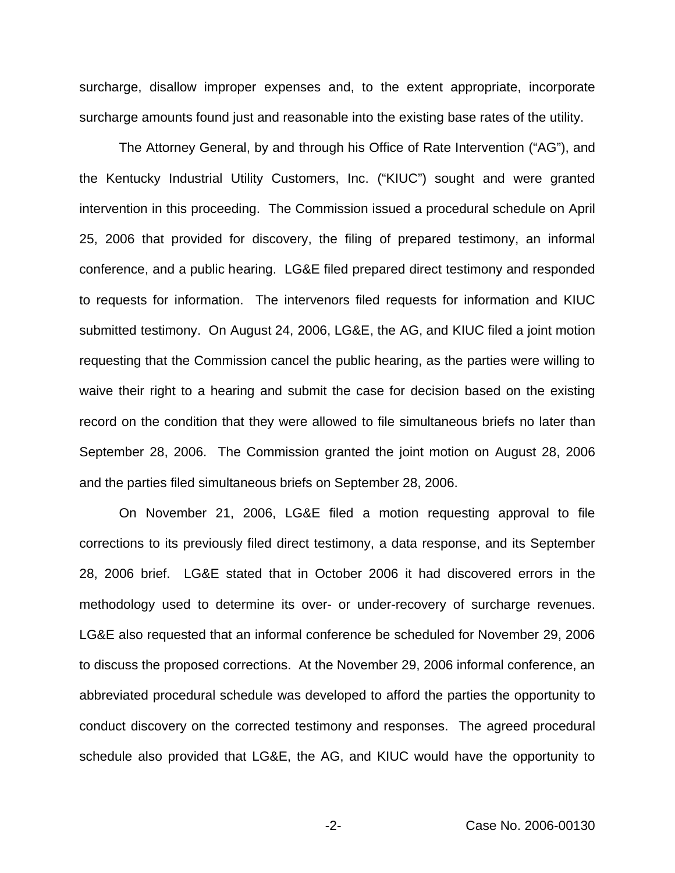surcharge, disallow improper expenses and, to the extent appropriate, incorporate surcharge amounts found just and reasonable into the existing base rates of the utility.

The Attorney General, by and through his Office of Rate Intervention ("AG"), and the Kentucky Industrial Utility Customers, Inc. ("KIUC") sought and were granted intervention in this proceeding. The Commission issued a procedural schedule on April 25, 2006 that provided for discovery, the filing of prepared testimony, an informal conference, and a public hearing. LG&E filed prepared direct testimony and responded to requests for information. The intervenors filed requests for information and KIUC submitted testimony. On August 24, 2006, LG&E, the AG, and KIUC filed a joint motion requesting that the Commission cancel the public hearing, as the parties were willing to waive their right to a hearing and submit the case for decision based on the existing record on the condition that they were allowed to file simultaneous briefs no later than September 28, 2006. The Commission granted the joint motion on August 28, 2006 and the parties filed simultaneous briefs on September 28, 2006.

On November 21, 2006, LG&E filed a motion requesting approval to file corrections to its previously filed direct testimony, a data response, and its September 28, 2006 brief. LG&E stated that in October 2006 it had discovered errors in the methodology used to determine its over- or under-recovery of surcharge revenues. LG&E also requested that an informal conference be scheduled for November 29, 2006 to discuss the proposed corrections. At the November 29, 2006 informal conference, an abbreviated procedural schedule was developed to afford the parties the opportunity to conduct discovery on the corrected testimony and responses. The agreed procedural schedule also provided that LG&E, the AG, and KIUC would have the opportunity to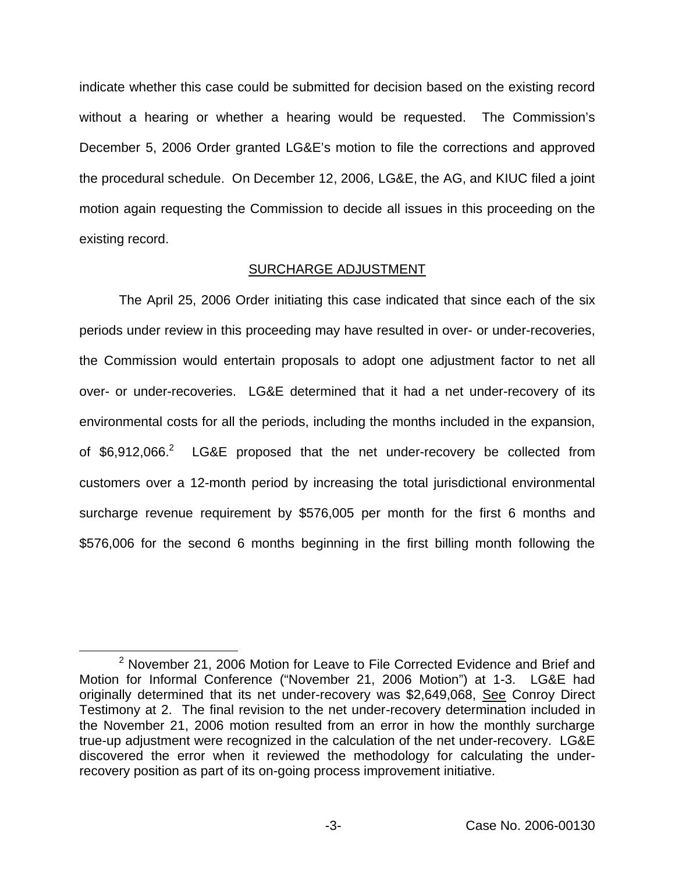indicate whether this case could be submitted for decision based on the existing record without a hearing or whether a hearing would be requested. The Commission's December 5, 2006 Order granted LG&E's motion to file the corrections and approved the procedural schedule. On December 12, 2006, LG&E, the AG, and KIUC filed a joint motion again requesting the Commission to decide all issues in this proceeding on the existing record.

### SURCHARGE ADJUSTMENT

The April 25, 2006 Order initiating this case indicated that since each of the six periods under review in this proceeding may have resulted in over- or under-recoveries, the Commission would entertain proposals to adopt one adjustment factor to net all over- or under-recoveries. LG&E determined that it had a net under-recovery of its environmental costs for all the periods, including the months included in the expansion, of  $$6,912,066.<sup>2</sup>$  LG&E proposed that the net under-recovery be collected from customers over a 12-month period by increasing the total jurisdictional environmental surcharge revenue requirement by \$576,005 per month for the first 6 months and \$576,006 for the second 6 months beginning in the first billing month following the

 $2$  November 21, 2006 Motion for Leave to File Corrected Evidence and Brief and Motion for Informal Conference ("November 21, 2006 Motion") at 1-3. LG&E had originally determined that its net under-recovery was \$2,649,068, See Conroy Direct Testimony at 2. The final revision to the net under-recovery determination included in the November 21, 2006 motion resulted from an error in how the monthly surcharge true-up adjustment were recognized in the calculation of the net under-recovery. LG&E discovered the error when it reviewed the methodology for calculating the underrecovery position as part of its on-going process improvement initiative.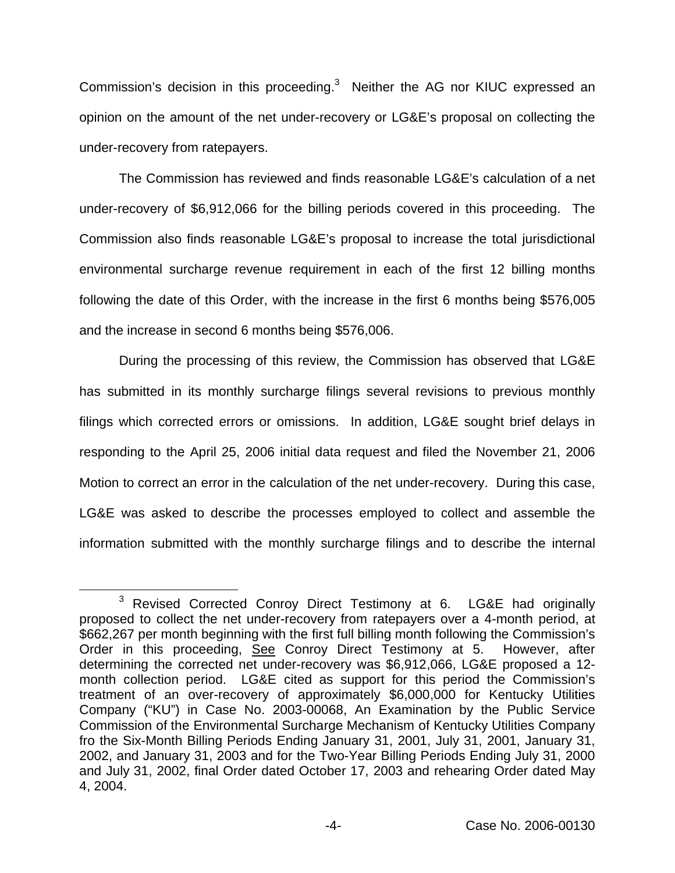Commission's decision in this proceeding.<sup>3</sup> Neither the AG nor KIUC expressed an opinion on the amount of the net under-recovery or LG&E's proposal on collecting the under-recovery from ratepayers.

The Commission has reviewed and finds reasonable LG&E's calculation of a net under-recovery of \$6,912,066 for the billing periods covered in this proceeding. The Commission also finds reasonable LG&E's proposal to increase the total jurisdictional environmental surcharge revenue requirement in each of the first 12 billing months following the date of this Order, with the increase in the first 6 months being \$576,005 and the increase in second 6 months being \$576,006.

During the processing of this review, the Commission has observed that LG&E has submitted in its monthly surcharge filings several revisions to previous monthly filings which corrected errors or omissions. In addition, LG&E sought brief delays in responding to the April 25, 2006 initial data request and filed the November 21, 2006 Motion to correct an error in the calculation of the net under-recovery. During this case, LG&E was asked to describe the processes employed to collect and assemble the information submitted with the monthly surcharge filings and to describe the internal

<sup>&</sup>lt;sup>3</sup> Revised Corrected Conroy Direct Testimony at 6. LG&E had originally proposed to collect the net under-recovery from ratepayers over a 4-month period, at \$662,267 per month beginning with the first full billing month following the Commission's Order in this proceeding, See Conroy Direct Testimony at 5. However, after determining the corrected net under-recovery was \$6,912,066, LG&E proposed a 12 month collection period. LG&E cited as support for this period the Commission's treatment of an over-recovery of approximately \$6,000,000 for Kentucky Utilities Company ("KU") in Case No. 2003-00068, An Examination by the Public Service Commission of the Environmental Surcharge Mechanism of Kentucky Utilities Company fro the Six-Month Billing Periods Ending January 31, 2001, July 31, 2001, January 31, 2002, and January 31, 2003 and for the Two-Year Billing Periods Ending July 31, 2000 and July 31, 2002, final Order dated October 17, 2003 and rehearing Order dated May 4, 2004.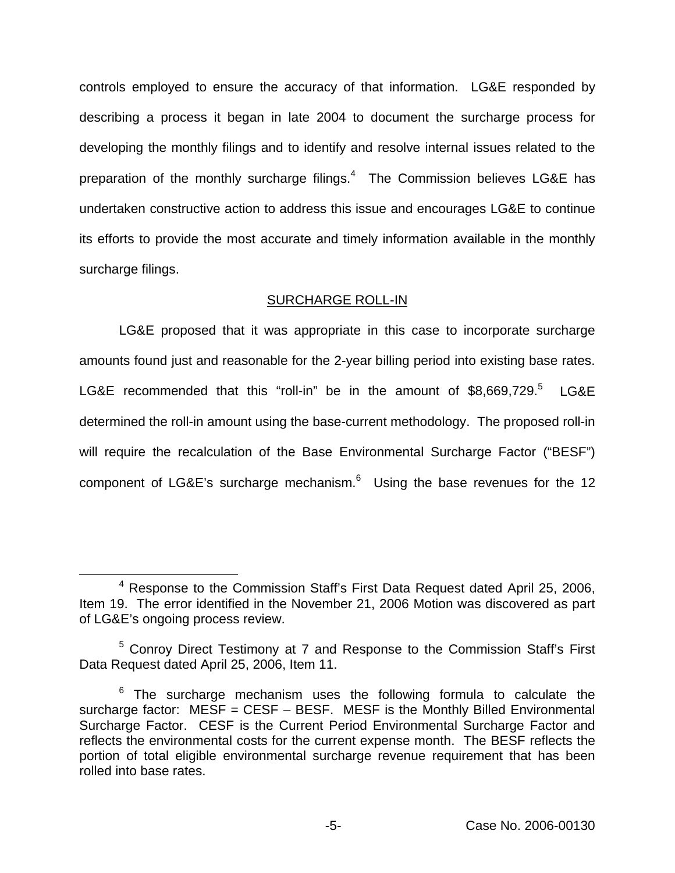controls employed to ensure the accuracy of that information. LG&E responded by describing a process it began in late 2004 to document the surcharge process for developing the monthly filings and to identify and resolve internal issues related to the preparation of the monthly surcharge filings. $4$  The Commission believes LG&E has undertaken constructive action to address this issue and encourages LG&E to continue its efforts to provide the most accurate and timely information available in the monthly surcharge filings.

## SURCHARGE ROLL-IN

LG&E proposed that it was appropriate in this case to incorporate surcharge amounts found just and reasonable for the 2-year billing period into existing base rates. LG&E recommended that this "roll-in" be in the amount of \$8,669,729.<sup>5</sup> LG&E determined the roll-in amount using the base-current methodology. The proposed roll-in will require the recalculation of the Base Environmental Surcharge Factor ("BESF") component of LG&E's surcharge mechanism. $6\,$  Using the base revenues for the 12

<sup>4</sup> Response to the Commission Staff's First Data Request dated April 25, 2006, Item 19. The error identified in the November 21, 2006 Motion was discovered as part of LG&E's ongoing process review.

<sup>&</sup>lt;sup>5</sup> Conroy Direct Testimony at 7 and Response to the Commission Staff's First Data Request dated April 25, 2006, Item 11.

 $6$  The surcharge mechanism uses the following formula to calculate the surcharge factor:  $MESF = CESF - BESF$ . MESF is the Monthly Billed Environmental Surcharge Factor. CESF is the Current Period Environmental Surcharge Factor and reflects the environmental costs for the current expense month. The BESF reflects the portion of total eligible environmental surcharge revenue requirement that has been rolled into base rates.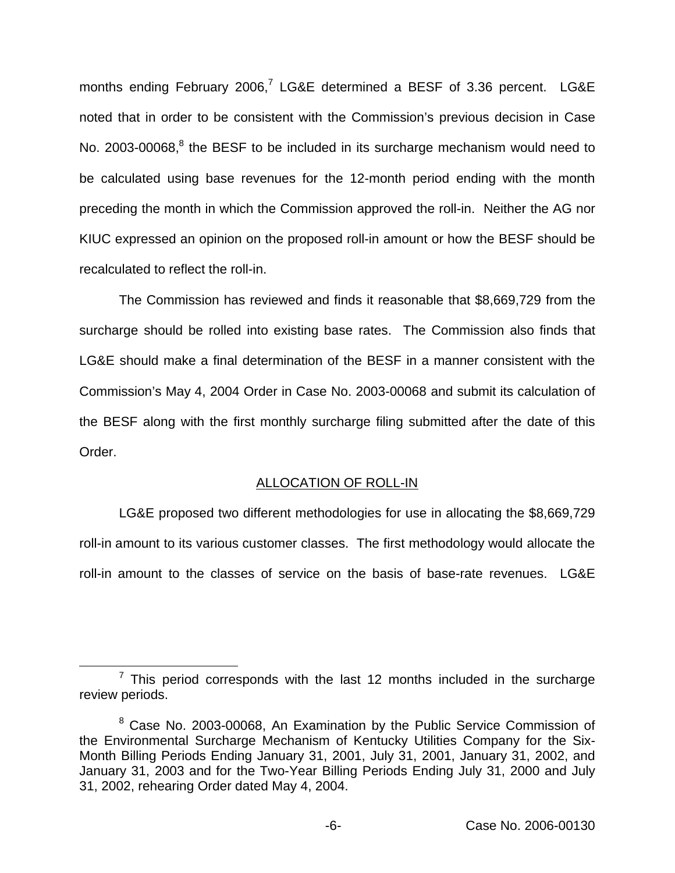months ending February 2006,<sup>7</sup> LG&E determined a BESF of 3.36 percent. LG&E noted that in order to be consistent with the Commission's previous decision in Case No. 2003-00068,<sup>8</sup> the BESF to be included in its surcharge mechanism would need to be calculated using base revenues for the 12-month period ending with the month preceding the month in which the Commission approved the roll-in. Neither the AG nor KIUC expressed an opinion on the proposed roll-in amount or how the BESF should be recalculated to reflect the roll-in.

The Commission has reviewed and finds it reasonable that \$8,669,729 from the surcharge should be rolled into existing base rates. The Commission also finds that LG&E should make a final determination of the BESF in a manner consistent with the Commission's May 4, 2004 Order in Case No. 2003-00068 and submit its calculation of the BESF along with the first monthly surcharge filing submitted after the date of this Order.

# ALLOCATION OF ROLL-IN

LG&E proposed two different methodologies for use in allocating the \$8,669,729 roll-in amount to its various customer classes. The first methodology would allocate the roll-in amount to the classes of service on the basis of base-rate revenues. LG&E

 $7$  This period corresponds with the last 12 months included in the surcharge review periods.

<sup>&</sup>lt;sup>8</sup> Case No. 2003-00068, An Examination by the Public Service Commission of the Environmental Surcharge Mechanism of Kentucky Utilities Company for the Six-Month Billing Periods Ending January 31, 2001, July 31, 2001, January 31, 2002, and January 31, 2003 and for the Two-Year Billing Periods Ending July 31, 2000 and July 31, 2002, rehearing Order dated May 4, 2004.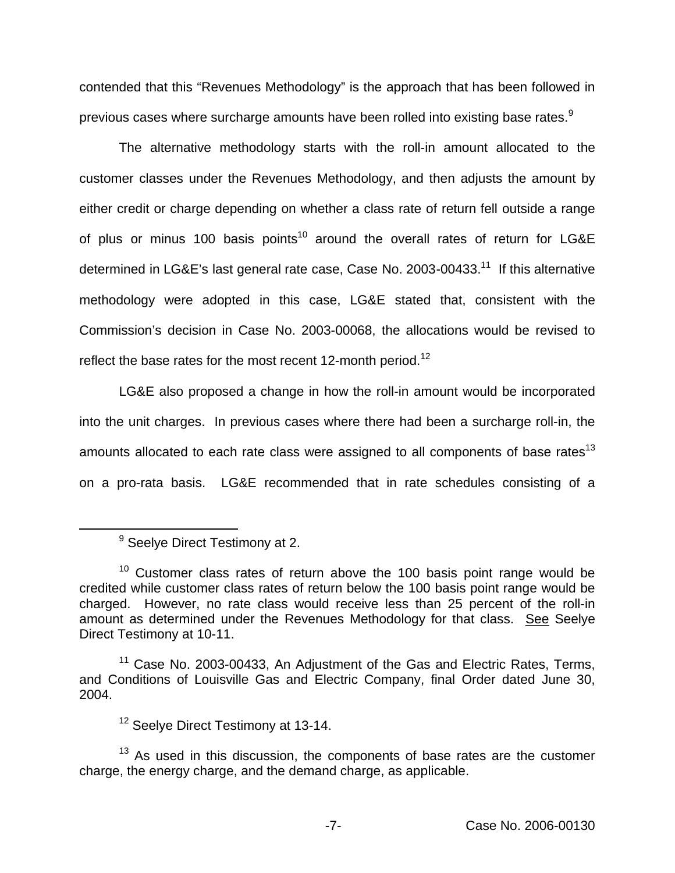contended that this "Revenues Methodology" is the approach that has been followed in previous cases where surcharge amounts have been rolled into existing base rates.<sup>9</sup>

The alternative methodology starts with the roll-in amount allocated to the customer classes under the Revenues Methodology, and then adjusts the amount by either credit or charge depending on whether a class rate of return fell outside a range of plus or minus 100 basis points<sup>10</sup> around the overall rates of return for LG&E determined in LG&E's last general rate case, Case No. 2003-00433.<sup>11</sup> If this alternative methodology were adopted in this case, LG&E stated that, consistent with the Commission's decision in Case No. 2003-00068, the allocations would be revised to reflect the base rates for the most recent 12-month period.<sup>12</sup>

LG&E also proposed a change in how the roll-in amount would be incorporated into the unit charges. In previous cases where there had been a surcharge roll-in, the amounts allocated to each rate class were assigned to all components of base rates<sup>13</sup> on a pro-rata basis. LG&E recommended that in rate schedules consisting of a

<sup>&</sup>lt;sup>9</sup> Seelye Direct Testimony at 2.

 $10$  Customer class rates of return above the 100 basis point range would be credited while customer class rates of return below the 100 basis point range would be charged. However, no rate class would receive less than 25 percent of the roll-in amount as determined under the Revenues Methodology for that class. See Seelye Direct Testimony at 10-11.

 $11$  Case No. 2003-00433, An Adjustment of the Gas and Electric Rates, Terms, and Conditions of Louisville Gas and Electric Company, final Order dated June 30, 2004.

<sup>&</sup>lt;sup>12</sup> Seelye Direct Testimony at 13-14.

 $13$  As used in this discussion, the components of base rates are the customer charge, the energy charge, and the demand charge, as applicable.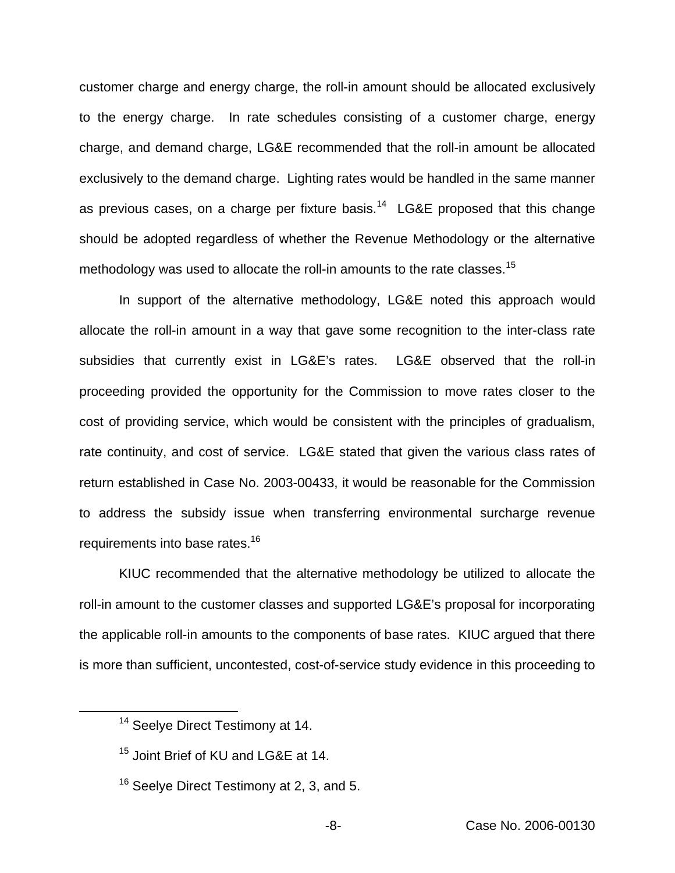customer charge and energy charge, the roll-in amount should be allocated exclusively to the energy charge. In rate schedules consisting of a customer charge, energy charge, and demand charge, LG&E recommended that the roll-in amount be allocated exclusively to the demand charge. Lighting rates would be handled in the same manner as previous cases, on a charge per fixture basis.<sup>14</sup> LG&E proposed that this change should be adopted regardless of whether the Revenue Methodology or the alternative methodology was used to allocate the roll-in amounts to the rate classes.<sup>15</sup>

In support of the alternative methodology, LG&E noted this approach would allocate the roll-in amount in a way that gave some recognition to the inter-class rate subsidies that currently exist in LG&E's rates. LG&E observed that the roll-in proceeding provided the opportunity for the Commission to move rates closer to the cost of providing service, which would be consistent with the principles of gradualism, rate continuity, and cost of service. LG&E stated that given the various class rates of return established in Case No. 2003-00433, it would be reasonable for the Commission to address the subsidy issue when transferring environmental surcharge revenue requirements into base rates.<sup>16</sup>

KIUC recommended that the alternative methodology be utilized to allocate the roll-in amount to the customer classes and supported LG&E's proposal for incorporating the applicable roll-in amounts to the components of base rates. KIUC argued that there is more than sufficient, uncontested, cost-of-service study evidence in this proceeding to

<sup>&</sup>lt;sup>14</sup> Seelye Direct Testimony at 14.

<sup>&</sup>lt;sup>15</sup> Joint Brief of KU and LG&E at 14.

<sup>&</sup>lt;sup>16</sup> Seelye Direct Testimony at 2, 3, and 5.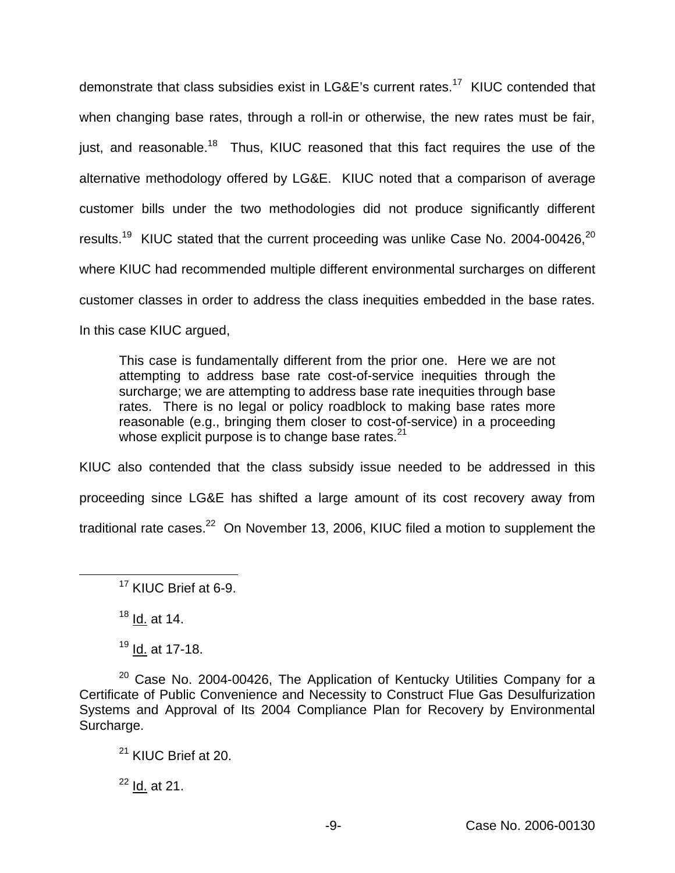demonstrate that class subsidies exist in LG&E's current rates.<sup>17</sup> KIUC contended that when changing base rates, through a roll-in or otherwise, the new rates must be fair, just, and reasonable.<sup>18</sup> Thus, KIUC reasoned that this fact requires the use of the alternative methodology offered by LG&E. KIUC noted that a comparison of average customer bills under the two methodologies did not produce significantly different results.<sup>19</sup> KIUC stated that the current proceeding was unlike Case No. 2004-00426,<sup>20</sup> where KIUC had recommended multiple different environmental surcharges on different customer classes in order to address the class inequities embedded in the base rates. In this case KIUC argued,

This case is fundamentally different from the prior one. Here we are not attempting to address base rate cost-of-service inequities through the surcharge; we are attempting to address base rate inequities through base rates. There is no legal or policy roadblock to making base rates more reasonable (e.g., bringing them closer to cost-of-service) in a proceeding whose explicit purpose is to change base rates. $21$ 

KIUC also contended that the class subsidy issue needed to be addressed in this proceeding since LG&E has shifted a large amount of its cost recovery away from traditional rate cases. $22$  On November 13, 2006, KIUC filed a motion to supplement the

 $18$  Id. at 14.

<sup>19</sup> Id. at 17-18.

 $20$  Case No. 2004-00426, The Application of Kentucky Utilities Company for a Certificate of Public Convenience and Necessity to Construct Flue Gas Desulfurization Systems and Approval of Its 2004 Compliance Plan for Recovery by Environmental Surcharge.

 $22$  Id. at 21.

<sup>&</sup>lt;sup>17</sup> KIUC Brief at 6-9.

<sup>&</sup>lt;sup>21</sup> KIUC Brief at 20.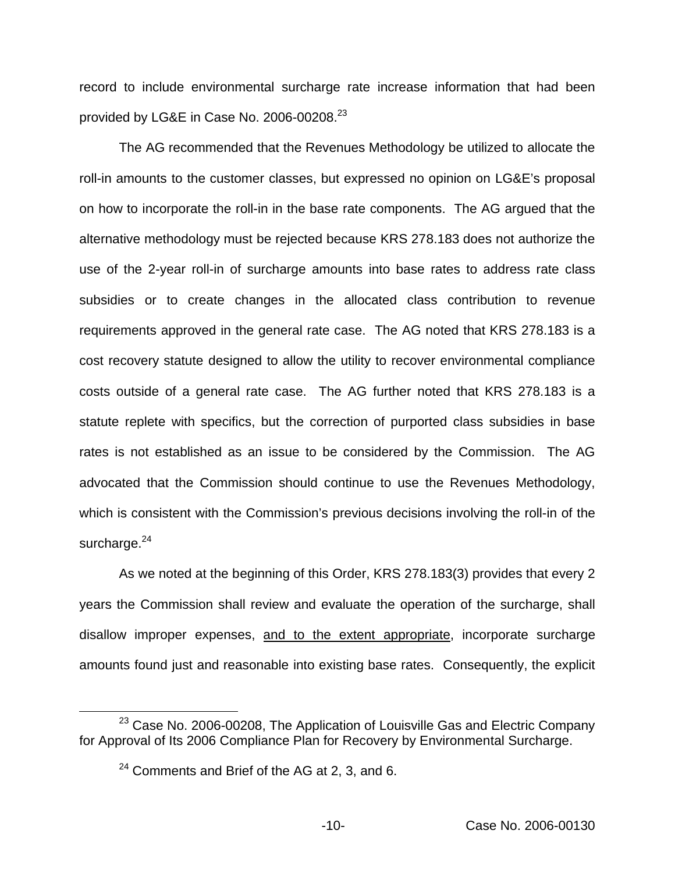record to include environmental surcharge rate increase information that had been provided by LG&E in Case No. 2006-00208.<sup>23</sup>

The AG recommended that the Revenues Methodology be utilized to allocate the roll-in amounts to the customer classes, but expressed no opinion on LG&E's proposal on how to incorporate the roll-in in the base rate components. The AG argued that the alternative methodology must be rejected because KRS 278.183 does not authorize the use of the 2-year roll-in of surcharge amounts into base rates to address rate class subsidies or to create changes in the allocated class contribution to revenue requirements approved in the general rate case. The AG noted that KRS 278.183 is a cost recovery statute designed to allow the utility to recover environmental compliance costs outside of a general rate case. The AG further noted that KRS 278.183 is a statute replete with specifics, but the correction of purported class subsidies in base rates is not established as an issue to be considered by the Commission. The AG advocated that the Commission should continue to use the Revenues Methodology, which is consistent with the Commission's previous decisions involving the roll-in of the surcharge. $24$ 

As we noted at the beginning of this Order, KRS 278.183(3) provides that every 2 years the Commission shall review and evaluate the operation of the surcharge, shall disallow improper expenses, and to the extent appropriate, incorporate surcharge amounts found just and reasonable into existing base rates. Consequently, the explicit

 $23$  Case No. 2006-00208, The Application of Louisville Gas and Electric Company for Approval of Its 2006 Compliance Plan for Recovery by Environmental Surcharge.

 $^{24}$  Comments and Brief of the AG at 2, 3, and 6.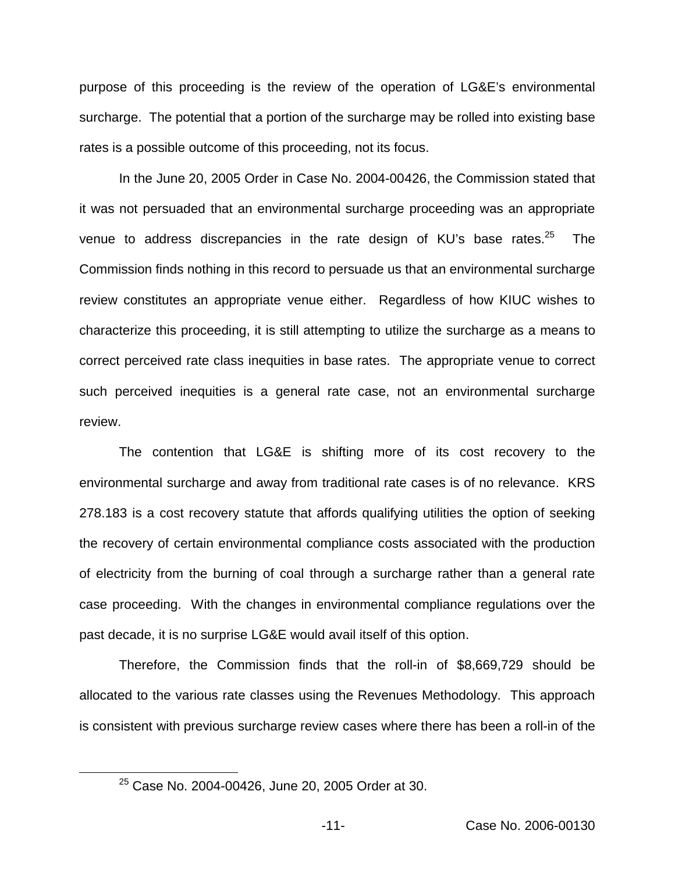purpose of this proceeding is the review of the operation of LG&E's environmental surcharge. The potential that a portion of the surcharge may be rolled into existing base rates is a possible outcome of this proceeding, not its focus.

In the June 20, 2005 Order in Case No. 2004-00426, the Commission stated that it was not persuaded that an environmental surcharge proceeding was an appropriate venue to address discrepancies in the rate design of KU's base rates. $25$  The Commission finds nothing in this record to persuade us that an environmental surcharge review constitutes an appropriate venue either. Regardless of how KIUC wishes to characterize this proceeding, it is still attempting to utilize the surcharge as a means to correct perceived rate class inequities in base rates. The appropriate venue to correct such perceived inequities is a general rate case, not an environmental surcharge review.

The contention that LG&E is shifting more of its cost recovery to the environmental surcharge and away from traditional rate cases is of no relevance. KRS 278.183 is a cost recovery statute that affords qualifying utilities the option of seeking the recovery of certain environmental compliance costs associated with the production of electricity from the burning of coal through a surcharge rather than a general rate case proceeding. With the changes in environmental compliance regulations over the past decade, it is no surprise LG&E would avail itself of this option.

Therefore, the Commission finds that the roll-in of \$8,669,729 should be allocated to the various rate classes using the Revenues Methodology. This approach is consistent with previous surcharge review cases where there has been a roll-in of the

<sup>25</sup> Case No. 2004-00426, June 20, 2005 Order at 30.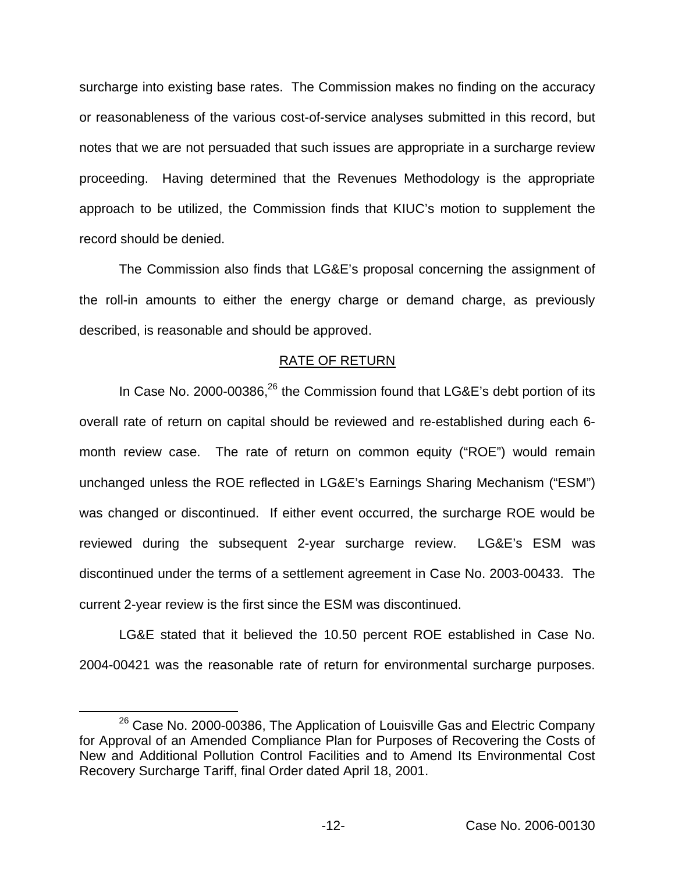surcharge into existing base rates. The Commission makes no finding on the accuracy or reasonableness of the various cost-of-service analyses submitted in this record, but notes that we are not persuaded that such issues are appropriate in a surcharge review proceeding. Having determined that the Revenues Methodology is the appropriate approach to be utilized, the Commission finds that KIUC's motion to supplement the record should be denied.

The Commission also finds that LG&E's proposal concerning the assignment of the roll-in amounts to either the energy charge or demand charge, as previously described, is reasonable and should be approved.

### RATE OF RETURN

In Case No. 2000-00386,<sup>26</sup> the Commission found that LG&E's debt portion of its overall rate of return on capital should be reviewed and re-established during each 6 month review case. The rate of return on common equity ("ROE") would remain unchanged unless the ROE reflected in LG&E's Earnings Sharing Mechanism ("ESM") was changed or discontinued. If either event occurred, the surcharge ROE would be reviewed during the subsequent 2-year surcharge review. LG&E's ESM was discontinued under the terms of a settlement agreement in Case No. 2003-00433. The current 2-year review is the first since the ESM was discontinued.

LG&E stated that it believed the 10.50 percent ROE established in Case No. 2004-00421 was the reasonable rate of return for environmental surcharge purposes.

 $26$  Case No. 2000-00386, The Application of Louisville Gas and Electric Company for Approval of an Amended Compliance Plan for Purposes of Recovering the Costs of New and Additional Pollution Control Facilities and to Amend Its Environmental Cost Recovery Surcharge Tariff, final Order dated April 18, 2001.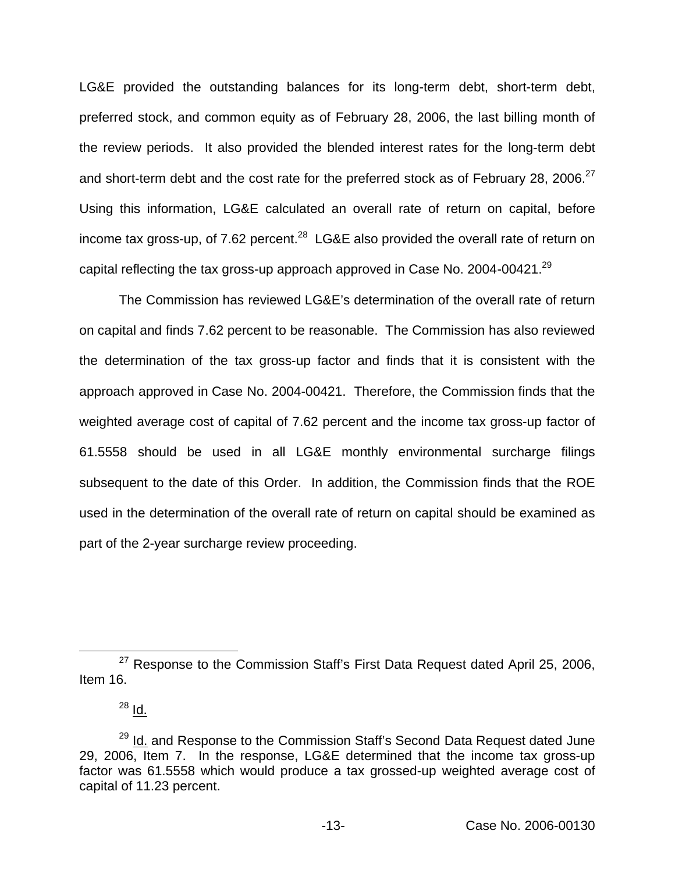LG&E provided the outstanding balances for its long-term debt, short-term debt, preferred stock, and common equity as of February 28, 2006, the last billing month of the review periods. It also provided the blended interest rates for the long-term debt and short-term debt and the cost rate for the preferred stock as of February 28, 2006.<sup>27</sup> Using this information, LG&E calculated an overall rate of return on capital, before income tax gross-up, of 7.62 percent.<sup>28</sup> LG&E also provided the overall rate of return on capital reflecting the tax gross-up approach approved in Case No. 2004-00421.<sup>29</sup>

The Commission has reviewed LG&E's determination of the overall rate of return on capital and finds 7.62 percent to be reasonable. The Commission has also reviewed the determination of the tax gross-up factor and finds that it is consistent with the approach approved in Case No. 2004-00421. Therefore, the Commission finds that the weighted average cost of capital of 7.62 percent and the income tax gross-up factor of 61.5558 should be used in all LG&E monthly environmental surcharge filings subsequent to the date of this Order. In addition, the Commission finds that the ROE used in the determination of the overall rate of return on capital should be examined as part of the 2-year surcharge review proceeding.

<sup>&</sup>lt;sup>27</sup> Response to the Commission Staff's First Data Request dated April 25, 2006, Item 16.

<sup>28</sup> Id.

<sup>&</sup>lt;sup>29</sup> Id. and Response to the Commission Staff's Second Data Request dated June 29, 2006, Item 7. In the response, LG&E determined that the income tax gross-up factor was 61.5558 which would produce a tax grossed-up weighted average cost of capital of 11.23 percent.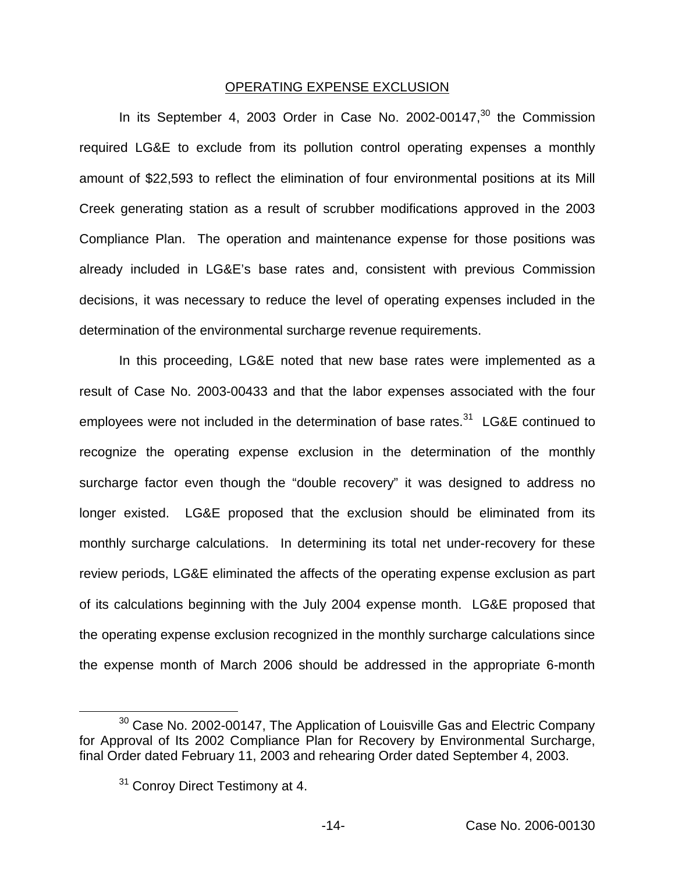### OPERATING EXPENSE EXCLUSION

In its September 4, 2003 Order in Case No. 2002-00147, $30$  the Commission required LG&E to exclude from its pollution control operating expenses a monthly amount of \$22,593 to reflect the elimination of four environmental positions at its Mill Creek generating station as a result of scrubber modifications approved in the 2003 Compliance Plan. The operation and maintenance expense for those positions was already included in LG&E's base rates and, consistent with previous Commission decisions, it was necessary to reduce the level of operating expenses included in the determination of the environmental surcharge revenue requirements.

In this proceeding, LG&E noted that new base rates were implemented as a result of Case No. 2003-00433 and that the labor expenses associated with the four employees were not included in the determination of base rates. $31$  LG&E continued to recognize the operating expense exclusion in the determination of the monthly surcharge factor even though the "double recovery" it was designed to address no longer existed. LG&E proposed that the exclusion should be eliminated from its monthly surcharge calculations. In determining its total net under-recovery for these review periods, LG&E eliminated the affects of the operating expense exclusion as part of its calculations beginning with the July 2004 expense month. LG&E proposed that the operating expense exclusion recognized in the monthly surcharge calculations since the expense month of March 2006 should be addressed in the appropriate 6-month

 $30$  Case No. 2002-00147, The Application of Louisville Gas and Electric Company for Approval of Its 2002 Compliance Plan for Recovery by Environmental Surcharge, final Order dated February 11, 2003 and rehearing Order dated September 4, 2003.

<sup>&</sup>lt;sup>31</sup> Conroy Direct Testimony at 4.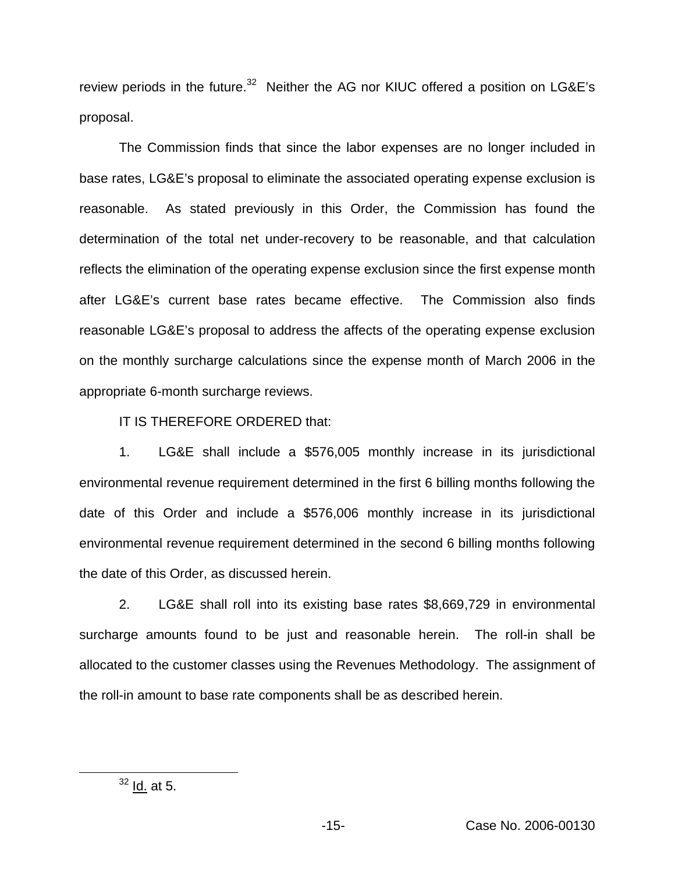review periods in the future. $32$  Neither the AG nor KIUC offered a position on LG&E's proposal.

The Commission finds that since the labor expenses are no longer included in base rates, LG&E's proposal to eliminate the associated operating expense exclusion is reasonable. As stated previously in this Order, the Commission has found the determination of the total net under-recovery to be reasonable, and that calculation reflects the elimination of the operating expense exclusion since the first expense month after LG&E's current base rates became effective. The Commission also finds reasonable LG&E's proposal to address the affects of the operating expense exclusion on the monthly surcharge calculations since the expense month of March 2006 in the appropriate 6-month surcharge reviews.

IT IS THEREFORE ORDERED that:

1. LG&E shall include a \$576,005 monthly increase in its jurisdictional environmental revenue requirement determined in the first 6 billing months following the date of this Order and include a \$576,006 monthly increase in its jurisdictional environmental revenue requirement determined in the second 6 billing months following the date of this Order, as discussed herein.

2. LG&E shall roll into its existing base rates \$8,669,729 in environmental surcharge amounts found to be just and reasonable herein. The roll-in shall be allocated to the customer classes using the Revenues Methodology. The assignment of the roll-in amount to base rate components shall be as described herein.

 $32$  Id. at 5.